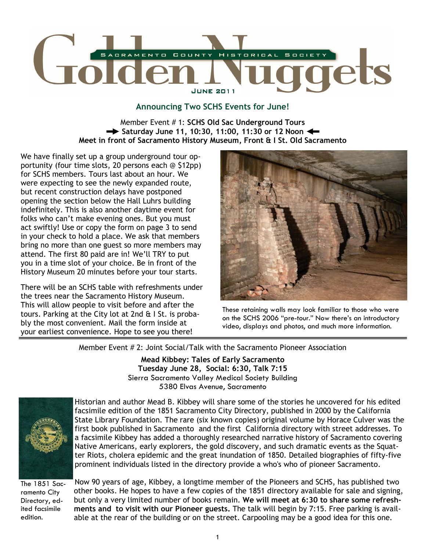

## Announcing Two SCHS Events for June!

Member Event # 1: SCHS Old Sac Underground Tours  $\rightarrow$  Saturday June 11, 10:30, 11:00, 11:30 or 12 Noon  $\leftarrow$ Meet in front of Sacramento History Museum, Front & I St. Old Sacramento

We have finally set up a group underground tour opportunity (four time slots, 20 persons each @ \$12pp) for SCHS members. Tours last about an hour. We were expecting to see the newly expanded route, but recent construction delays have postponed opening the section below the Hall Luhrs building indefinitely. This is also another daytime event for folks who can't make evening ones. But you must act swiftly! Use or copy the form on page 3 to send in your check to hold a place. We ask that members bring no more than one guest so more members may attend. The first 80 paid are in! We'll TRY to put you in a time slot of your choice. Be in front of the History Museum 20 minutes before your tour starts.

There will be an SCHS table with refreshments under the trees near the Sacramento History Museum. This will allow people to visit before and after the tours. Parking at the City lot at 2nd & I St. is probably the most convenient. Mail the form inside at your earliest convenience. Hope to see you there!



These retaining walls may look familiar to those who were on the SCHS 2006 "pre-tour." Now there's an introductory video, displays and photos, and much more information.

Member Event # 2: Joint Social/Talk with the Sacramento Pioneer Association

Mead Kibbey: Tales of Early Sacramento Tuesday June 28, Social: 6:30, Talk 7:15 Sierra Sacramento Valley Medical Society Building 5380 Elvas Avenue, Sacramento



Historian and author Mead B. Kibbey will share some of the stories he uncovered for his edited facsimile edition of the 1851 Sacramento City Directory, published in 2000 by the California State Library Foundation. The rare (six known copies) original volume by Horace Culver was the first book published in Sacramento and the first California directory with street addresses. To a facsimile Kibbey has added a thoroughly researched narrative history of Sacramento covering Native Americans, early explorers, the gold discovery, and such dramatic events as the Squatter Riots, cholera epidemic and the great inundation of 1850. Detailed biographies of fifty-five prominent individuals listed in the directory provide a who's who of pioneer Sacramento.

The 1851 Sacramento City Directory, edited facsimile edition.

Now 90 years of age, Kibbey, a longtime member of the Pioneers and SCHS, has published two other books. He hopes to have a few copies of the 1851 directory available for sale and signing, but only a very limited number of books remain. We will meet at 6:30 to share some refreshments and to visit with our Pioneer guests. The talk will begin by 7:15. Free parking is available at the rear of the building or on the street. Carpooling may be a good idea for this one.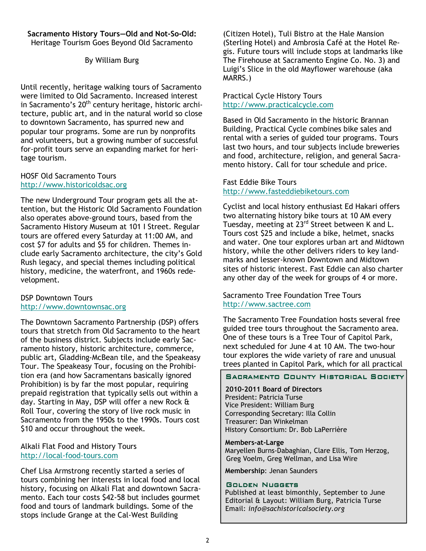#### Sacramento History Tours—Old and Not-So-Old: Heritage Tourism Goes Beyond Old Sacramento

# By William Burg

Until recently, heritage walking tours of Sacramento were limited to Old Sacramento. Increased interest in Sacramento's 20<sup>th</sup> century heritage, historic architecture, public art, and in the natural world so close to downtown Sacramento, has spurred new and popular tour programs. Some are run by nonprofits and volunteers, but a growing number of successful for-profit tours serve an expanding market for heritage tourism.

#### HOSF Old Sacramento Tours http://www.historicoldsac.org

The new Underground Tour program gets all the attention, but the Historic Old Sacramento Foundation also operates above-ground tours, based from the Sacramento History Museum at 101 I Street. Regular tours are offered every Saturday at 11:00 AM, and cost \$7 for adults and \$5 for children. Themes include early Sacramento architecture, the city's Gold Rush legacy, and special themes including political history, medicine, the waterfront, and 1960s redevelopment.

## DSP Downtown Tours http://www.downtownsac.org

The Downtown Sacramento Partnership (DSP) offers tours that stretch from Old Sacramento to the heart of the business district. Subjects include early Sacramento history, historic architecture, commerce, public art, Gladding-McBean tile, and the Speakeasy Tour. The Speakeasy Tour, focusing on the Prohibition era (and how Sacramentans basically ignored Prohibition) is by far the most popular, requiring prepaid registration that typically sells out within a day. Starting in May, DSP will offer a new Rock & Roll Tour, covering the story of live rock music in Sacramento from the 1950s to the 1990s. Tours cost \$10 and occur throughout the week.

#### Alkali Flat Food and History Tours http://local-food-tours.com

Chef Lisa Armstrong recently started a series of tours combining her interests in local food and local history, focusing on Alkali Flat and downtown Sacramento. Each tour costs \$42-58 but includes gourmet food and tours of landmark buildings. Some of the stops include Grange at the Cal-West Building

(Citizen Hotel), Tuli Bistro at the Hale Mansion (Sterling Hotel) and Ambrosia Café at the Hotel Regis. Future tours will include stops at landmarks like The Firehouse at Sacramento Engine Co. No. 3) and Luigi's Slice in the old Mayflower warehouse (aka MARRS.)

## Practical Cycle History Tours http://www.practicalcycle.com

Based in Old Sacramento in the historic Brannan Building, Practical Cycle combines bike sales and rental with a series of guided tour programs. Tours last two hours, and tour subjects include breweries and food, architecture, religion, and general Sacramento history. Call for tour schedule and price.

#### Fast Eddie Bike Tours http://www.fasteddiebiketours.com

Cyclist and local history enthusiast Ed Hakari offers two alternating history bike tours at 10 AM every Tuesday, meeting at 23<sup>rd</sup> Street between K and L. Tours cost \$25 and include a bike, helmet, snacks and water. One tour explores urban art and Midtown history, while the other delivers riders to key landmarks and lesser-known Downtown and Midtown sites of historic interest. Fast Eddie can also charter any other day of the week for groups of 4 or more.

#### Sacramento Tree Foundation Tree Tours http://www.sactree.com

The Sacramento Tree Foundation hosts several free guided tree tours throughout the Sacramento area. One of these tours is a Tree Tour of Capitol Park, next scheduled for June 4 at 10 AM. The two-hour tour explores the wide variety of rare and unusual trees planted in Capitol Park, which for all practical

#### SACRAMENTO COUNTY HISTORICAL SOCIETY

2010-2011 Board of Directors President: Patricia Turse Vice President: William Burg Corresponding Secretary: Illa Collin Treasurer: Dan Winkelman History Consortium: Dr. Bob LaPerrière

Members-at-Large Maryellen Burns-Dabaghian, Clare Ellis, Tom Herzog, Greg Voelm, Greg Wellman, and Lisa Wire

Membership: Jenan Saunders

#### GOLDEN NUGGETS

Published at least bimonthly, September to June Editorial & Layout: William Burg, Patricia Turse Email: info@sachistoricalsociety.org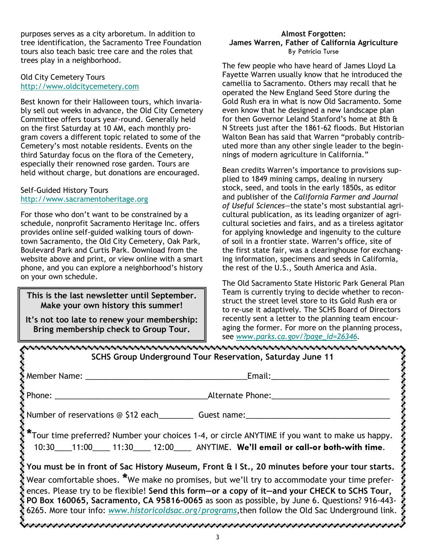purposes serves as a city arboretum. In addition to tree identification, the Sacramento Tree Foundation tours also teach basic tree care and the roles that trees play in a neighborhood.

## Old City Cemetery Tours http://www.oldcitycemetery.com

Best known for their Halloween tours, which invariably sell out weeks in advance, the Old City Cemetery Committee offers tours year-round. Generally held on the first Saturday at 10 AM, each monthly program covers a different topic related to some of the Cemetery's most notable residents. Events on the third Saturday focus on the flora of the Cemetery, especially their renowned rose garden. Tours are held without charge, but donations are encouraged.

## Self-Guided History Tours http://www.sacramentoheritage.org

For those who don't want to be constrained by a schedule, nonprofit Sacramento Heritage Inc. offers provides online self-guided walking tours of downtown Sacramento, the Old City Cemetery, Oak Park, Boulevard Park and Curtis Park. Download from the website above and print, or view online with a smart phone, and you can explore a neighborhood's history on your own schedule.

# This is the last newsletter until September. Make your own history this summer!

It's not too late to renew your membership: Bring membership check to Group Tour.

#### Almost Forgotten: James Warren, Father of California Agriculture By Patricia Turse

The few people who have heard of James Lloyd La Fayette Warren usually know that he introduced the camellia to Sacramento. Others may recall that he operated the New England Seed Store during the Gold Rush era in what is now Old Sacramento. Some even know that he designed a new landscape plan for then Governor Leland Stanford's home at 8th & N Streets just after the 1861-62 floods. But Historian Walton Bean has said that Warren "probably contributed more than any other single leader to the beginnings of modern agriculture in California."

Bean credits Warren's importance to provisions supplied to 1849 mining camps, dealing in nursery stock, seed, and tools in the early 1850s, as editor and publisher of the California Farmer and Journal of Useful Sciences—the state's most substantial agricultural publication, as its leading organizer of agricultural societies and fairs, and as a tireless agitator for applying knowledge and ingenuity to the culture of soil in a frontier state. Warren's office, site of the first state fair, was a clearinghouse for exchanging information, specimens and seeds in California, the rest of the U.S., South America and Asia.

The Old Sacramento State Historic Park General Plan Team is currently trying to decide whether to reconstruct the street level store to its Gold Rush era or to re-use it adaptively. The SCHS Board of Directors recently sent a letter to the planning team encouraging the former. For more on the planning process, see www.parks.ca.gov/?page\_id=26346.

| SCHS Group Underground Tour Reservation, Saturday June 11                                                                                                                                                                                                                                                                                                                                                                |                                                                                                                                                                                                                                |  |  |
|--------------------------------------------------------------------------------------------------------------------------------------------------------------------------------------------------------------------------------------------------------------------------------------------------------------------------------------------------------------------------------------------------------------------------|--------------------------------------------------------------------------------------------------------------------------------------------------------------------------------------------------------------------------------|--|--|
| Member Name: Namer                                                                                                                                                                                                                                                                                                                                                                                                       | Email: Email: Album and the second service of the service of the series of the series of the series of the series of the series of the series of the series of the series of the series of the series of the series of the ser |  |  |
| Phone: _________                                                                                                                                                                                                                                                                                                                                                                                                         | <b>Alternate Phone:</b> Alternate Phone:                                                                                                                                                                                       |  |  |
|                                                                                                                                                                                                                                                                                                                                                                                                                          | Number of reservations @ \$12 each_____________ Guest name:______________________                                                                                                                                              |  |  |
|                                                                                                                                                                                                                                                                                                                                                                                                                          | *Tour time preferred? Number your choices 1-4, or circle ANYTIME if you want to make us happy.<br>10:30____11:00_____ 11:30_____ 12:00_____ ANYTIME. We'll email or call-or both-with time.                                    |  |  |
| $\mathcal Y$ You must be in front of Sac History Museum, Front & I St., 20 minutes before your tour starts.                                                                                                                                                                                                                                                                                                              |                                                                                                                                                                                                                                |  |  |
| Wear comfortable shoes. *We make no promises, but we'll try to accommodate your time prefer-<br>ences. Please try to be flexible! Send this form-or a copy of it-and your CHECK to SCHS Tour,<br>$\bar{\xi}$ PO Box 160065, Sacramento, CA 95816-0065 as soon as possible, by June 6. Questions? 916-443- $\bar{\xi}$<br>6265. More tour info: www.historicoldsac.org/programs,then follow the Old Sac Underground link. |                                                                                                                                                                                                                                |  |  |
|                                                                                                                                                                                                                                                                                                                                                                                                                          |                                                                                                                                                                                                                                |  |  |